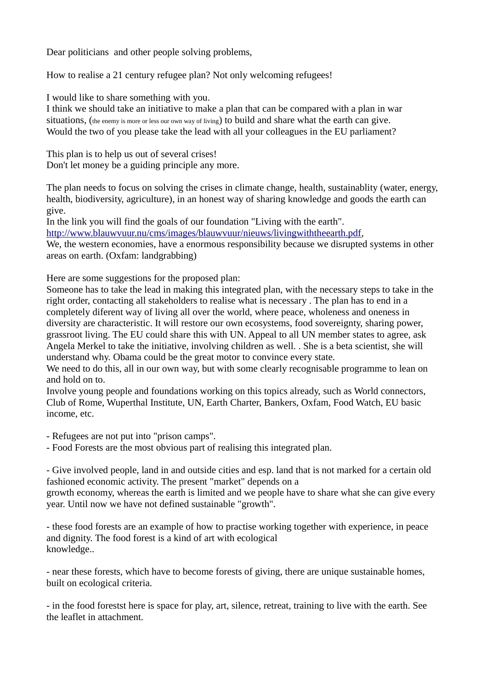Dear politicians and other people solving problems,

How to realise a 21 century refugee plan? Not only welcoming refugees!

I would like to share something with you.

I think we should take an initiative to make a plan that can be compared with a plan in war situations, (the enemy is more or less our own way of living) to build and share what the earth can give. Would the two of you please take the lead with all your colleagues in the EU parliament?

This plan is to help us out of several crises! Don't let money be a guiding principle any more.

The plan needs to focus on solving the crises in climate change, health, sustainablity (water, energy, health, biodiversity, agriculture), in an honest way of sharing knowledge and goods the earth can give.

In the link you will find the goals of our foundation "Living with the earth".

http://www.blauwvuur.nu/cms/images/blauwvuur/nieuws/livingwiththeearth.pdf,

We, the western economies, have a enormous responsibility because we disrupted systems in other areas on earth. (Oxfam: landgrabbing)

Here are some suggestions for the proposed plan:

Someone has to take the lead in making this integrated plan, with the necessary steps to take in the right order, contacting all stakeholders to realise what is necessary . The plan has to end in a completely diferent way of living all over the world, where peace, wholeness and oneness in diversity are characteristic. It will restore our own ecosystems, food sovereignty, sharing power, grassroot living. The EU could share this with UN. Appeal to all UN member states to agree, ask Angela Merkel to take the initiative, involving children as well. . She is a beta scientist, she will understand why. Obama could be the great motor to convince every state.

We need to do this, all in our own way, but with some clearly recognisable programme to lean on and hold on to.

Involve young people and foundations working on this topics already, such as World connectors, Club of Rome, Wuperthal Institute, UN, Earth Charter, Bankers, Oxfam, Food Watch, EU basic income, etc.

- Refugees are not put into "prison camps".

- Food Forests are the most obvious part of realising this integrated plan.

- Give involved people, land in and outside cities and esp. land that is not marked for a certain old fashioned economic activity. The present "market" depends on a

growth economy, whereas the earth is limited and we people have to share what she can give every year. Until now we have not defined sustainable "growth".

- these food forests are an example of how to practise working together with experience, in peace and dignity. The food forest is a kind of art with ecological knowledge..

- near these forests, which have to become forests of giving, there are unique sustainable homes, built on ecological criteria.

- in the food forestst here is space for play, art, silence, retreat, training to live with the earth. See the leaflet in attachment.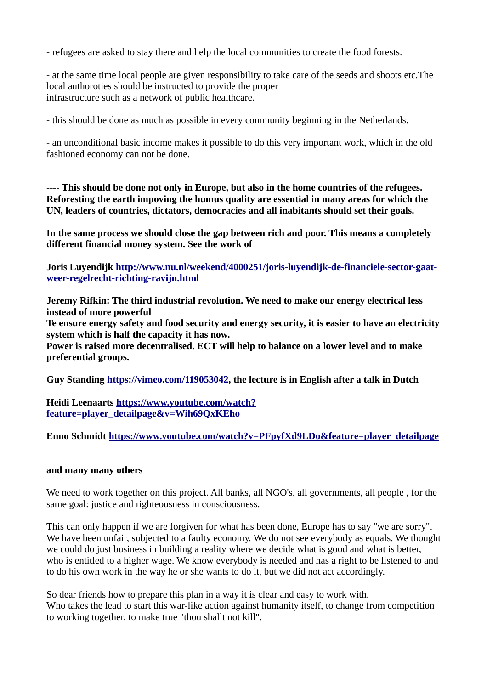- refugees are asked to stay there and help the local communities to create the food forests.

- at the same time local people are given responsibility to take care of the seeds and shoots etc.The local authoroties should be instructed to provide the proper infrastructure such as a network of public healthcare.

- this should be done as much as possible in every community beginning in the Netherlands.

- an unconditional basic income makes it possible to do this very important work, which in the old fashioned economy can not be done.

**---- This should be done not only in Europe, but also in the home countries of the refugees. Reforesting the earth impoving the humus quality are essential in many areas for which the UN, leaders of countries, dictators, democracies and all inabitants should set their goals.**

**In the same process we should close the gap between rich and poor. This means a completely different financial money system. See the work of** 

**Joris Luyendijk [http://www.nu.nl/weekend/4000251/joris-luyendijk-de-financiele-sector-gaat](http://www.nu.nl/weekend/4000251/joris-luyendijk-de-financiele-sector-gaat-weer-regelrecht-richting-ravijn.html)[weer-regelrecht-richting-ravijn.html](http://www.nu.nl/weekend/4000251/joris-luyendijk-de-financiele-sector-gaat-weer-regelrecht-richting-ravijn.html)**

**Jeremy Rifkin: The third industrial revolution. We need to make our energy electrical less instead of more powerful**

**Te ensure energy safety and food security and energy security, it is easier to have an electricity system which is half the capacity it has now.** 

**Power is raised more decentralised. ECT will help to balance on a lower level and to make preferential groups.** 

**Guy Standing [https://vimeo.com/119053042,](https://vimeo.com/119053042) the lecture is in English after a talk in Dutch**

**Heidi Leenaarts [https://www.youtube.com/watch?](https://www.youtube.com/watch?feature=player_detailpage&v=Wih69QxKEho) [feature=player\\_detailpage&v=Wih69QxKEho](https://www.youtube.com/watch?feature=player_detailpage&v=Wih69QxKEho)**

**Enno Schmidt [https://www.youtube.com/watch?v=PFpyfXd9LDo&feature=player\\_detailpage](https://www.youtube.com/watch?v=PFpyfXd9LDo&feature=player_detailpage)**

## **and many many others**

We need to work together on this project. All banks, all NGO's, all governments, all people , for the same goal: justice and righteousness in consciousness.

This can only happen if we are forgiven for what has been done, Europe has to say "we are sorry". We have been unfair, subjected to a faulty economy. We do not see everybody as equals. We thought we could do just business in building a reality where we decide what is good and what is better, who is entitled to a higher wage. We know everybody is needed and has a right to be listened to and to do his own work in the way he or she wants to do it, but we did not act accordingly.

So dear friends how to prepare this plan in a way it is clear and easy to work with. Who takes the lead to start this war-like action against humanity itself, to change from competition to working together, to make true "thou shallt not kill".